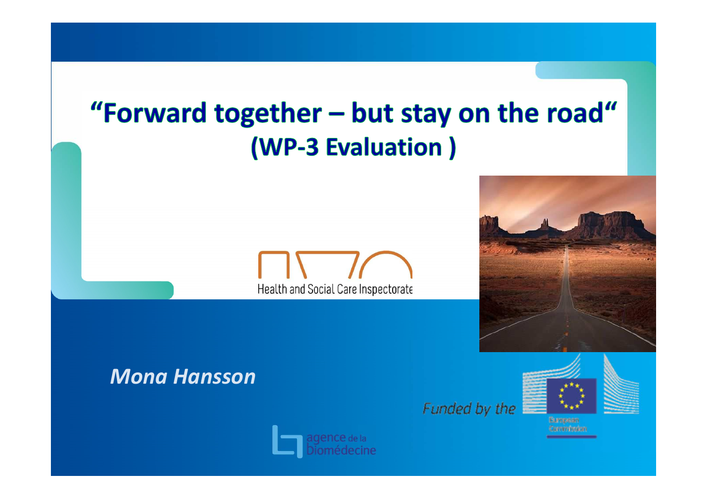# "Forward together - but stay on the road" (WP-3 Evaluation)





# *Mona Hansson*









European **Jammission**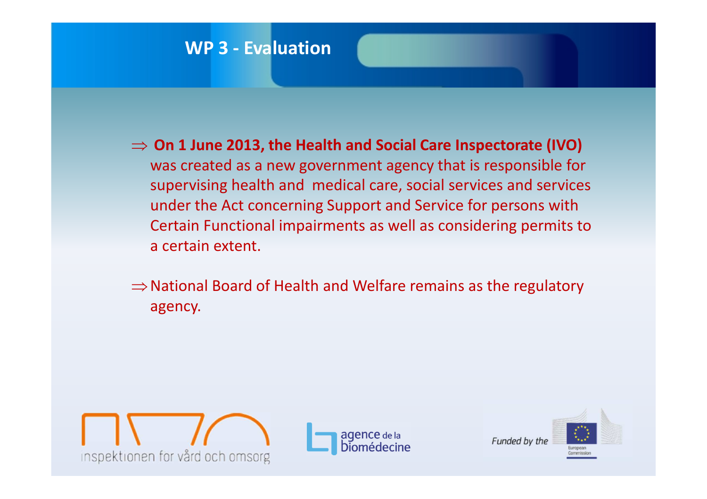- ⇒ **On 1 June 2013, the Health and Social Care Inspectorate (IVO)**  was created as a new government agency that is responsible for supervising health and medical care, social services and services under the Act concerning Support and Service for persons with Certain Functional impairments as well as considering permits to a certain extent.
- ⇒National Board of Health and Welfare remains as the regulatory agency.





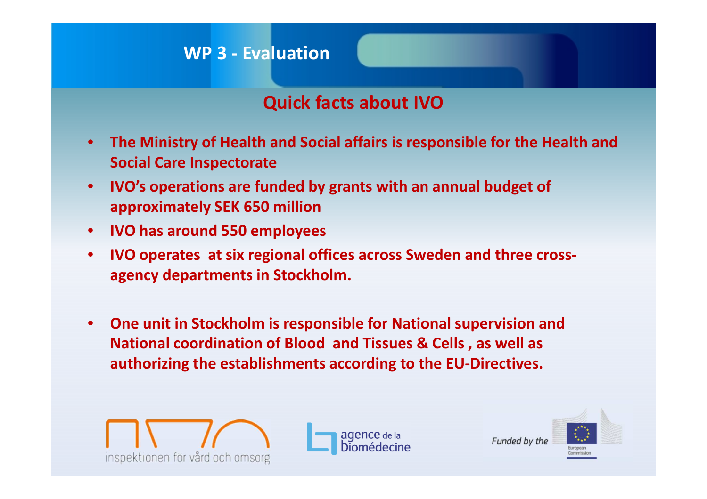# **Quick facts about IVO**

- $\bullet$  **The Ministry of Health and Social affairs is responsible for the Health and Social Care Inspectorate**
- $\bullet$  **IVO's operations are funded by grants with an annual budget of approximately SEK 650 million**
- **IVO has around 550 employees**
- $\bullet$  **IVO operates at six regional offices across Sweden and three crossagency departments in Stockholm.**
- • **One unit in Stockholm is responsible for National supervision and National coordination of Blood and Tissues & Cells , as well as authorizing the establishments according to the EU-Directives.**





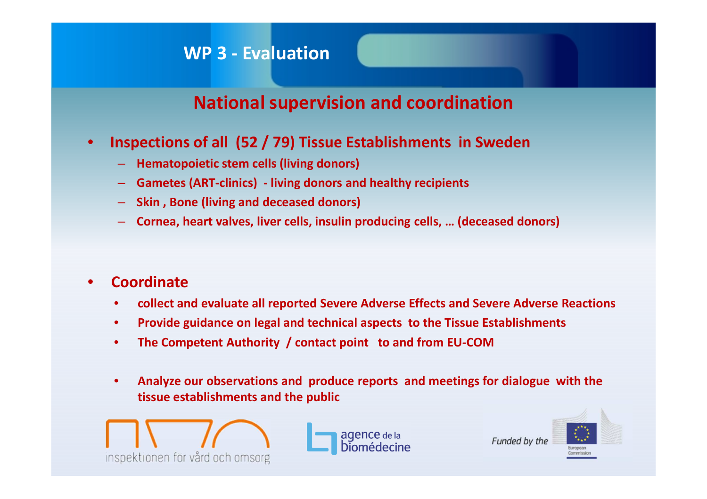## **National supervision and coordination**

- $\bullet$  **Inspections of all (52 / 79) Tissue Establishments in Sweden**
	- **Hematopoietic stem cells (living donors)**
	- **Gametes (ART-clinics) - living donors and healthy recipients**
	- **Skin , Bone (living and deceased donors)**
	- **Cornea, heart valves, liver cells, insulin producing cells, … (deceased donors)**

#### $\bullet$ **Coordinate**

- $\bullet$ **collect and evaluate all reported Severe Adverse Effects and Severe Adverse Reactions**
- $\bullet$ **Provide guidance on legal and technical aspects to the Tissue Establishments**
- •**The Competent Authority / contact point to and from EU-COM**
- $\bullet$  **Analyze our observations and produce reports and meetings for dialogue with the tissue establishments and the public**



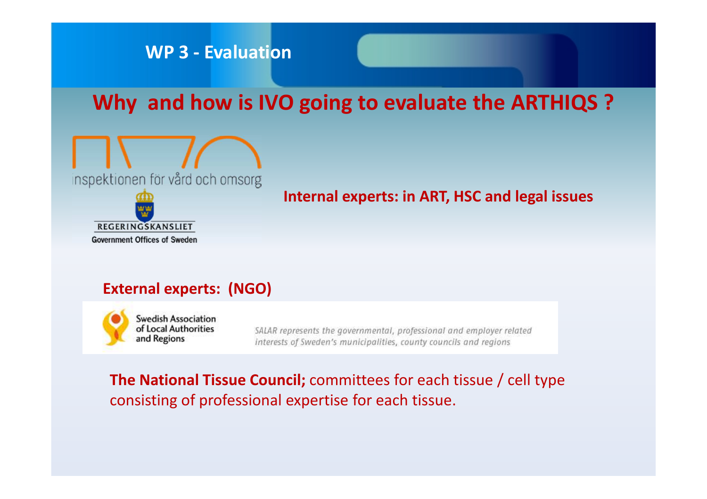# **Why and how is IVO going to evaluate the ARTHIQS ?**



**Internal experts: in ART, HSC and legal issues**

#### **External experts: (NGO)**



**Swedish Association** of Local Authorities and Regions

SALAR represents the governmental, professional and employer related interests of Sweden's municipalities, county councils and regions

#### **The National Tissue Council;** committees for each tissue / cell type consisting of professional expertise for each tissue.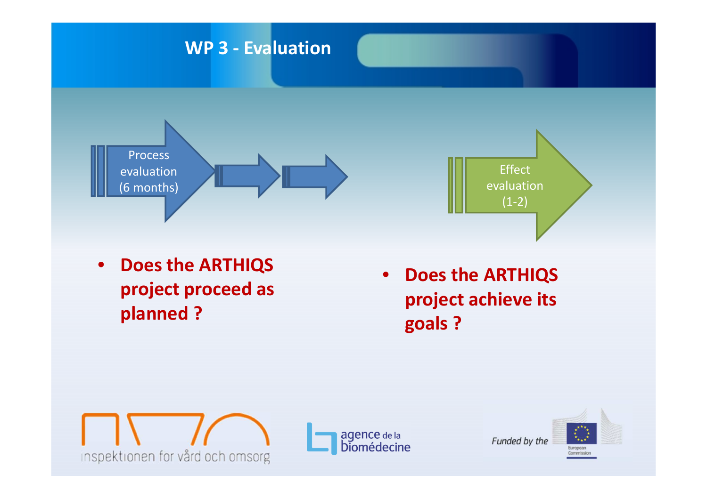

**project proceed as planned ?** 







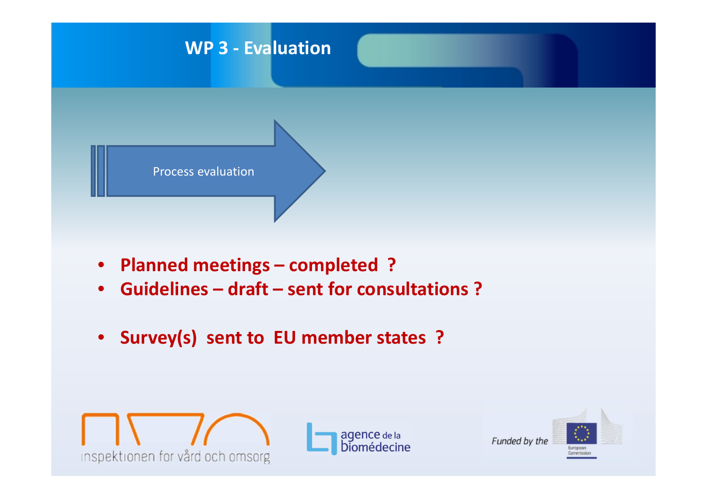

- **Planned meetings – completed ?**
- $\bullet$ **Guidelines – draft – sent for consultations ?**
- **Survey(s) sent to EU member states ?**





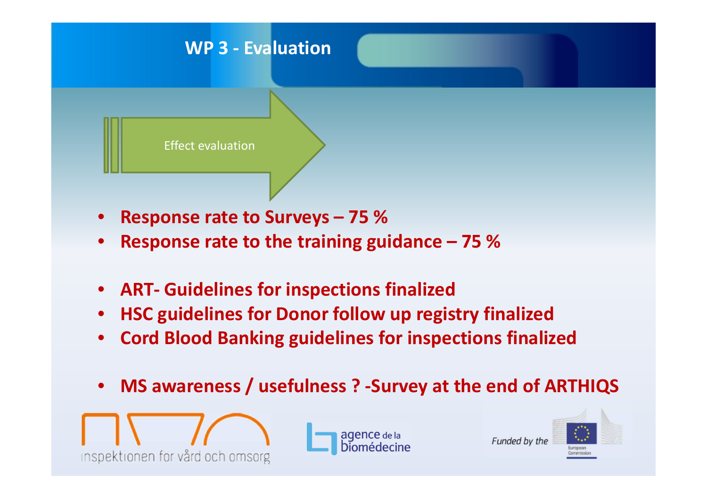

- •**Response rate to Surveys – 75 %**
- •**Response rate to the training guidance – 75 %**
- $\bullet$ **ART- Guidelines for inspections finalized**
- •**HSC guidelines for Donor follow up registry finalized**
- $\bullet$ **Cord Blood Banking guidelines for inspections finalized**
- •**MS awareness / usefulness ? -Survey at the end of ARTHIQS**